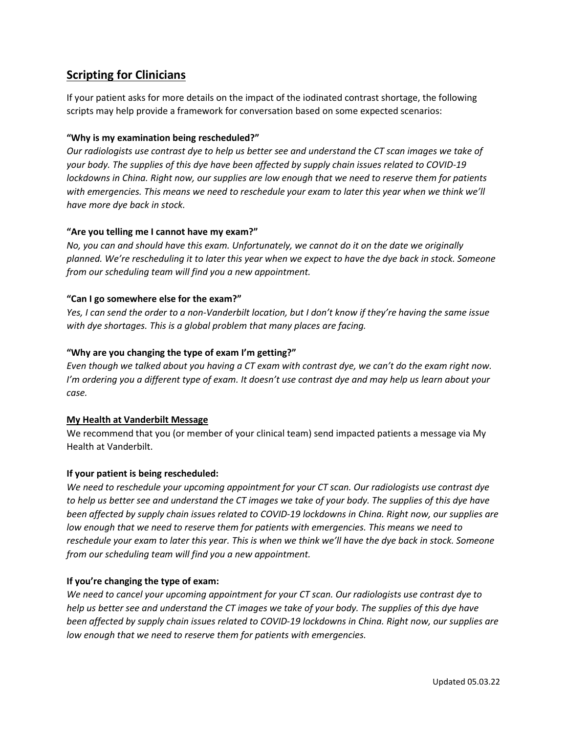# **Scripting for Clinicians**

If your patient asks for more details on the impact of the iodinated contrast shortage, the following scripts may help provide a framework for conversation based on some expected scenarios:

## **"Why is my examination being rescheduled?"**

*Our radiologists use contrast dye to help us better see and understand the CT scan images we take of your body. The supplies of this dye have been affected by supply chain issues related to COVID-19 lockdowns in China. Right now, our supplies are low enough that we need to reserve them for patients with emergencies. This means we need to reschedule your exam to later this year when we think we'll have more dye back in stock.*

## **"Are you telling me I cannot have my exam?"**

*No, you can and should have this exam. Unfortunately, we cannot do it on the date we originally planned. We're rescheduling it to later this year when we expect to have the dye back in stock. Someone from our scheduling team will find you a new appointment.*

## **"Can I go somewhere else for the exam?"**

*Yes, I can send the order to a non-Vanderbilt location, but I don't know if they're having the same issue with dye shortages. This is a global problem that many places are facing.*

## **"Why are you changing the type of exam I'm getting?"**

*Even though we talked about you having a CT exam with contrast dye, we can't do the exam right now. I'm ordering you a different type of exam. It doesn't use contrast dye and may help us learn about your case.*

## **My Health at Vanderbilt Message**

We recommend that you (or member of your clinical team) send impacted patients a message via My Health at Vanderbilt.

## **If your patient is being rescheduled:**

*We need to reschedule your upcoming appointment for your CT scan. Our radiologists use contrast dye to help us better see and understand the CT images we take of your body. The supplies of this dye have been affected by supply chain issues related to COVID-19 lockdowns in China. Right now, our supplies are low enough that we need to reserve them for patients with emergencies. This means we need to reschedule your exam to later this year. This is when we think we'll have the dye back in stock. Someone from our scheduling team will find you a new appointment.*

## **If you're changing the type of exam:**

*We need to cancel your upcoming appointment for your CT scan. Our radiologists use contrast dye to help us better see and understand the CT images we take of your body. The supplies of this dye have been affected by supply chain issues related to COVID-19 lockdowns in China. Right now, our supplies are low enough that we need to reserve them for patients with emergencies.*